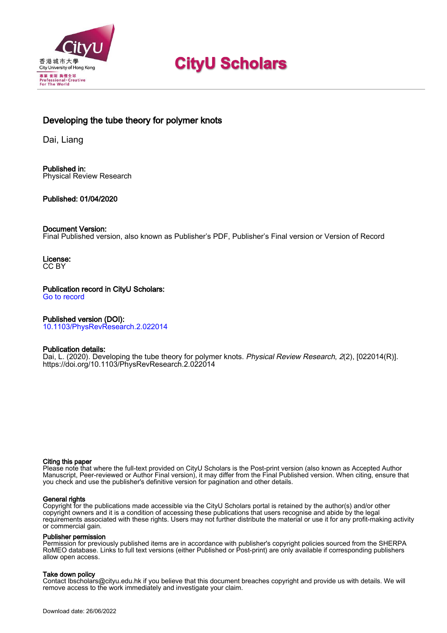

# **CityU Scholars**

# Developing the tube theory for polymer knots

Dai, Liang

Published in: Physical Review Research

# Published: 01/04/2020

## Document Version:

Final Published version, also known as Publisher's PDF, Publisher's Final version or Version of Record

License: CC BY

Publication record in CityU Scholars: [Go to record](https://scholars.cityu.edu.hk/en/publications/developing-the-tube-theory-for-polymer-knots(b2de4239-aa2c-485d-880a-3b59c68736c5).html)

# Published version (DOI):

[10.1103/PhysRevResearch.2.022014](https://doi.org/10.1103/PhysRevResearch.2.022014)

## Publication details:

[Dai, L.](https://scholars.cityu.edu.hk/en/persons/liang-dai(cdb9efd0-c1d3-4c37-9671-42c431bc4b65).html) (2020). [Developing the tube theory for polymer knots.](https://scholars.cityu.edu.hk/en/publications/developing-the-tube-theory-for-polymer-knots(b2de4239-aa2c-485d-880a-3b59c68736c5).html) [Physical Review Research](https://scholars.cityu.edu.hk/en/journals/physical-review-research(f45bd42f-7bec-4a14-845e-bb5181e11fdb)/publications.html), 2(2), [022014(R)]. <https://doi.org/10.1103/PhysRevResearch.2.022014>

#### Citing this paper

Please note that where the full-text provided on CityU Scholars is the Post-print version (also known as Accepted Author Manuscript, Peer-reviewed or Author Final version), it may differ from the Final Published version. When citing, ensure that you check and use the publisher's definitive version for pagination and other details.

#### General rights

Copyright for the publications made accessible via the CityU Scholars portal is retained by the author(s) and/or other copyright owners and it is a condition of accessing these publications that users recognise and abide by the legal requirements associated with these rights. Users may not further distribute the material or use it for any profit-making activity or commercial gain.

#### Publisher permission

Permission for previously published items are in accordance with publisher's copyright policies sourced from the SHERPA RoMEO database. Links to full text versions (either Published or Post-print) are only available if corresponding publishers allow open access.

#### Take down policy

Contact lbscholars@cityu.edu.hk if you believe that this document breaches copyright and provide us with details. We will remove access to the work immediately and investigate your claim.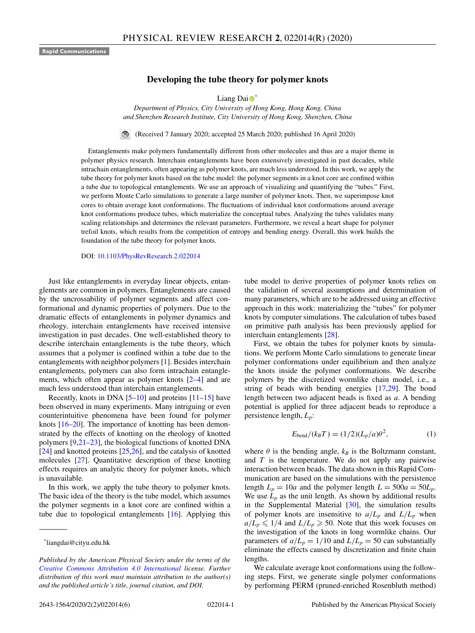<span id="page-1-0"></span>**Rapid Communications**

#### **Developing the tube theory for polymer knots**

L[i](https://orcid.org/0000-0002-4672-6283)ang Dai $\bullet$ <sup>\*</sup>

*Department of Physics, City University of Hong Kong, Hong Kong, China and Shenzhen Research Institute, City University of Hong Kong, Shenzhen, China*

 $\bigcirc$ (Received 7 January 2020; accepted 25 March 2020; published 16 April 2020)

Entanglements make polymers fundamentally different from other molecules and thus are a major theme in polymer physics research. Interchain entanglements have been extensively investigated in past decades, while intrachain entanglements, often appearing as polymer knots, are much less understood. In this work, we apply the tube theory for polymer knots based on the tube model: the polymer segments in a knot core are confined within a tube due to topological entanglements. We use an approach of visualizing and quantifying the "tubes." First, we perform Monte Carlo simulations to generate a large number of polymer knots. Then, we superimpose knot cores to obtain average knot conformations. The fluctuations of individual knot conformations around average knot conformations produce tubes, which materialize the conceptual tubes. Analyzing the tubes validates many scaling relationships and determines the relevant parameters. Furthermore, we reveal a heart shape for polymer trefoil knots, which results from the competition of entropy and bending energy. Overall, this work builds the foundation of the tube theory for polymer knots.

DOI: [10.1103/PhysRevResearch.2.022014](https://doi.org/10.1103/PhysRevResearch.2.022014)

Just like entanglements in everyday linear objects, entanglements are common in polymers. Entanglements are caused by the uncrossability of polymer segments and affect conformational and dynamic properties of polymers. Due to the dramatic effects of entanglements in polymer dynamics and rheology, interchain entanglements have received intensive investigation in past decades. One well-established theory to describe interchain entanglements is the tube theory, which assumes that a polymer is confined within a tube due to the entanglements with neighbor polymers [\[1\]](#page-5-0). Besides interchain entanglements, polymers can also form intrachain entanglements, which often appear as polymer knots [\[2–4\]](#page-5-0) and are much less understood than interchain entanglements.

Recently, knots in DNA  $[5-10]$  and proteins  $[11-15]$  have been observed in many experiments. Many intriguing or even counterintuitive phenomena have been found for polymer knots [\[16–20\]](#page-5-0). The importance of knotting has been demonstrated by the effects of knotting on the rheology of knotted polymers [\[9,21–23\]](#page-5-0), the biological functions of knotted DNA  $[24]$  and knotted proteins  $[25,26]$ , and the catalysis of knotted molecules [\[27\]](#page-5-0). Quantitative description of these knotting effects requires an analytic theory for polymer knots, which is unavailable.

In this work, we apply the tube theory to polymer knots. The basic idea of the theory is the tube model, which assumes the polymer segments in a knot core are confined within a tube due to topological entanglements [\[16\]](#page-5-0). Applying this tube model to derive properties of polymer knots relies on the validation of several assumptions and determination of many parameters, which are to be addressed using an effective approach in this work: materializing the "tubes" for polymer knots by computer simulations. The calculation of tubes based on primitive path analysis has been previously applied for interchain entanglements [\[28\]](#page-5-0).

First, we obtain the tubes for polymer knots by simulations. We perform Monte Carlo simulations to generate linear polymer conformations under equilibrium and then analyze the knots inside the polymer conformations. We describe polymers by the discretized wormlike chain model, i.e., a string of beads with bending energies [\[17,29\]](#page-5-0). The bond length between two adjacent beads is fixed as *a*. A bending potential is applied for three adjacent beads to reproduce a persistence length, *Lp*:

$$
E_{\text{bend}}/(k_B T) = (1/2)(L_p/a)\theta^2, \qquad (1)
$$

where  $\theta$  is the bending angle,  $k_B$  is the Boltzmann constant, and *T* is the temperature. We do not apply any pairwise interaction between beads. The data shown in this Rapid Communication are based on the simulations with the persistence length  $L_p = 10a$  and the polymer length  $L = 500a = 50L_p$ . We use  $L_p$  as the unit length. As shown by additional results in the Supplemental Material [\[30\]](#page-5-0), the simulation results of polymer knots are insensitive to  $a/L_p$  and  $L/L_p$  when  $a/L_p \leq 1/4$  and  $L/L_p \geq 50$ . Note that this work focuses on the investigation of the knots in long wormlike chains. Our parameters of  $a/L_p = 1/10$  and  $L/L_p = 50$  can substantially eliminate the effects caused by discretization and finite chain lengths.

We calculate average knot conformations using the following steps. First, we generate single polymer conformations by performing PERM (pruned-enriched Rosenbluth method)

<sup>\*</sup>liangdai@cityu.edu.hk

*Published by the American Physical Society under the terms of the [Creative Commons Attribution 4.0 International](https://creativecommons.org/licenses/by/4.0/) license. Further distribution of this work must maintain attribution to the author(s) and the published article's title, journal citation, and DOI.*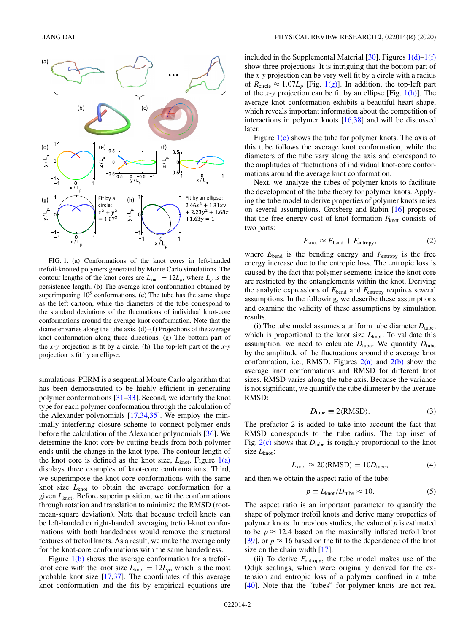<span id="page-2-0"></span>

FIG. 1. (a) Conformations of the knot cores in left-handed trefoil-knotted polymers generated by Monte Carlo simulations. The contour lengths of the knot cores are  $L_{knot} = 12L_p$ , where  $L_p$  is the persistence length. (b) The average knot conformation obtained by superimposing  $10<sup>5</sup>$  conformations. (c) The tube has the same shape as the left cartoon, while the diameters of the tube correspond to the standard deviations of the fluctuations of individual knot-core conformations around the average knot conformation. Note that the diameter varies along the tube axis. (d)–(f) Projections of the average knot conformation along three directions. (g) The bottom part of the *x*-*y* projection is fit by a circle. (h) The top-left part of the *x*-*y* projection is fit by an ellipse.

simulations. PERM is a sequential Monte Carlo algorithm that has been demonstrated to be highly efficient in generating polymer conformations [\[31–](#page-5-0)[33\]](#page-6-0). Second, we identify the knot type for each polymer conformation through the calculation of the Alexander polynomials [\[17,](#page-5-0)[34,35\]](#page-6-0). We employ the minimally interfering closure scheme to connect polymer ends before the calculation of the Alexander polynomials [\[36\]](#page-6-0). We determine the knot core by cutting beads from both polymer ends until the change in the knot type. The contour length of the knot core is defined as the knot size,  $L_{knot}$ . Figure  $1(a)$ displays three examples of knot-core conformations. Third, we superimpose the knot-core conformations with the same knot size  $L_{knot}$  to obtain the average conformation for a given *L*knot. Before superimposition, we fit the conformations through rotation and translation to minimize the RMSD (rootmean-square deviation). Note that because trefoil knots can be left-handed or right-handed, averaging trefoil-knot conformations with both handedness would remove the structural features of trefoil knots. As a result, we make the average only for the knot-core conformations with the same handedness.

Figure  $1(b)$  shows the average conformation for a trefoilknot core with the knot size  $L_{\text{knot}} = 12L_p$ , which is the most probable knot size [\[17](#page-5-0)[,37\]](#page-6-0). The coordinates of this average knot conformation and the fits by empirical equations are included in the Supplemental Material [\[30\]](#page-5-0). Figures  $1(d)$ –1(f) show three projections. It is intriguing that the bottom part of the *x*-*y* projection can be very well fit by a circle with a radius of  $R_{\text{circle}} \approx 1.07L_p$  [Fig. 1(g)]. In addition, the top-left part of the *x*-*y* projection can be fit by an ellipse [Fig. 1(h)]. The average knot conformation exhibits a beautiful heart shape, which reveals important information about the competition of interactions in polymer knots [\[16,](#page-5-0)[38\]](#page-6-0) and will be discussed later.

Figure  $1(c)$  shows the tube for polymer knots. The axis of this tube follows the average knot conformation, while the diameters of the tube vary along the axis and correspond to the amplitudes of fluctuations of individual knot-core conformations around the average knot conformation.

Next, we analyze the tubes of polymer knots to facilitate the development of the tube theory for polymer knots. Applying the tube model to derive properties of polymer knots relies on several assumptions. Grosberg and Rabin [\[16\]](#page-5-0) proposed that the free energy cost of knot formation  $F_{k<sub>not</sub>}$  consists of two parts:

$$
F_{\text{knot}} \approx E_{\text{bend}} + F_{\text{entropy}},\tag{2}
$$

where  $E_{\text{bend}}$  is the bending energy and  $F_{\text{entropy}}$  is the free energy increase due to the entropic loss. The entropic loss is caused by the fact that polymer segments inside the knot core are restricted by the entanglements within the knot. Deriving the analytic expressions of *E*bend and *F*entropy requires several assumptions. In the following, we describe these assumptions and examine the validity of these assumptions by simulation results.

(i) The tube model assumes a uniform tube diameter  $D_{\text{tube}}$ , which is proportional to the knot size  $L_{knot}$ . To validate this assumption, we need to calculate  $D_{\text{tube}}$ . We quantify  $D_{\text{tube}}$ by the amplitude of the fluctuations around the average knot conformation, i.e., RMSD. Figures  $2(a)$  and  $2(b)$  show the average knot conformations and RMSD for different knot sizes. RMSD varies along the tube axis. Because the variance is not significant, we quantify the tube diameter by the average RMSD:

$$
D_{\text{tube}} \equiv 2 \langle \text{RMSD} \rangle. \tag{3}
$$

The prefactor 2 is added to take into account the fact that RMSD corresponds to the tube radius. The top inset of Fig.  $2(c)$  shows that  $D_{tube}$  is roughly proportional to the knot size *L*knot:

$$
L_{\text{knot}} \approx 20 \langle \text{RMSD} \rangle = 10 D_{\text{tube}}, \tag{4}
$$

and then we obtain the aspect ratio of the tube:

$$
p \equiv L_{\text{knot}} / D_{\text{tube}} \approx 10. \tag{5}
$$

The aspect ratio is an important parameter to quantify the shape of polymer trefoil knots and derive many properties of polymer knots. In previous studies, the value of *p* is estimated to be  $p \approx 12.4$  based on the maximally inflated trefoil knot [\[39\]](#page-6-0), or  $p \approx 16$  based on the fit to the dependence of the knot size on the chain width [\[17\]](#page-5-0).

(ii) To derive *F*entropy, the tube model makes use of the Odijk scalings, which were originally derived for the extension and entropic loss of a polymer confined in a tube [\[40\]](#page-6-0). Note that the "tubes" for polymer knots are not real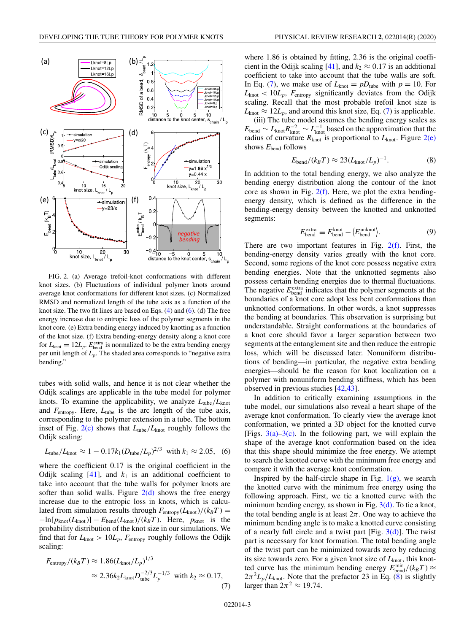<span id="page-3-0"></span>

FIG. 2. (a) Average trefoil-knot conformations with different knot sizes. (b) Fluctuations of individual polymer knots around average knot conformations for different knot sizes. (c) Normalized RMSD and normalized length of the tube axis as a function of the knot size. The two fit lines are based on Eqs. [\(4\)](#page-2-0) and (6). (d) The free energy increase due to entropic loss of the polymer segments in the knot core. (e) Extra bending energy induced by knotting as a function of the knot size. (f) Extra bending-energy density along a knot core for  $L_{\text{knot}} = 12L_p$ .  $E_{\text{bend}}^{\text{extra}}$  is normalized to be the extra bending energy per unit length of  $L_p$ . The shaded area corresponds to "negative extra bending."

tubes with solid walls, and hence it is not clear whether the Odijk scalings are applicable in the tube model for polymer knots. To examine the applicability, we analyze  $L_{tube}/L_{knot}$ and *F*entropy. Here, *L*tube is the arc length of the tube axis, corresponding to the polymer extension in a tube. The bottom inset of Fig.  $2(c)$  shows that  $L_{tube}/L_{knot}$  roughly follows the Odijk scaling:

$$
L_{\text{tube}}/L_{\text{knot}} \approx 1 - 0.17 k_1 (D_{\text{tube}}/L_p)^{2/3}
$$
 with  $k_1 \approx 2.05$ , (6)

where the coefficient 0.17 is the original coefficient in the Odijk scaling  $[41]$ , and  $k_1$  is an additional coefficient to take into account that the tube walls for polymer knots are softer than solid walls. Figure  $2(d)$  shows the free energy increase due to the entropic loss in knots, which is calculated from simulation results through  $F_{entropy}(L_{knot})/(k_BT)$  =  $-\ln[p_{\text{knot}}(L_{\text{knot}})] - E_{\text{bend}}(L_{\text{knot}})/(k_B T)$ . Here,  $p_{\text{knot}}$  is the probability distribution of the knot size in our simulations. We find that for  $L_{\text{knot}} > 10L_p$ ,  $F_{\text{entropy}}$  roughly follows the Odijk scaling:

$$
F_{\text{entropy}}/(k_B T) \approx 1.86 (L_{\text{knot}}/L_p)^{1/3}
$$
  

$$
\approx 2.36 k_2 L_{\text{knot}} D_{\text{tube}}^{-2/3} L_p^{-1/3} \text{ with } k_2 \approx 0.17,
$$
 (7)

where 1.86 is obtained by fitting, 2.36 is the original coeffi-cient in the Odijk scaling [\[41\]](#page-6-0), and  $k_2 \approx 0.17$  is an additional coefficient to take into account that the tube walls are soft. In Eq. (7), we make use of  $L_{\text{knot}} = pD_{\text{tube}}$  with  $p = 10$ . For  $L_{\text{knot}} < 10L_p$ ,  $F_{\text{entropy}}$  significantly deviates from the Odijk scaling. Recall that the most probable trefoil knot size is  $L_{\text{knot}} \approx 12L_p$ , and around this knot size, Eq. (7) is applicable.

(iii) The tube model assumes the bending energy scales as  $E_{\text{bend}} \sim L_{\text{knot}}^{-2} \sim L_{\text{knot}}^{-1}$  based on the approximation that the radius of curvature  $R_{\text{knot}}$  is proportional to  $L_{\text{knot}}$ . Figure 2(e) shows *E*bend follows

$$
E_{\text{bend}}/(k_B T) \approx 23 (L_{\text{knot}}/L_p)^{-1}.
$$
 (8)

In addition to the total bending energy, we also analyze the bending energy distribution along the contour of the knot core as shown in Fig.  $2(f)$ . Here, we plot the extra bendingenergy density, which is defined as the difference in the bending-energy density between the knotted and unknotted segments:

$$
E_{\text{bend}}^{\text{extra}} \equiv E_{\text{bend}}^{\text{knot}} - \langle E_{\text{bend}}^{\text{unknot}} \rangle. \tag{9}
$$

There are two important features in Fig.  $2(f)$ . First, the bending-energy density varies greatly with the knot core. Second, some regions of the knot core possess negative extra bending energies. Note that the unknotted segments also possess certain bending energies due to thermal fluctuations. The negative  $E_{\text{bend}}^{\text{extra}}$  indicates that the polymer segments at the boundaries of a knot core adopt less bent conformations than unknotted conformations. In other words, a knot suppresses the bending at boundaries. This observation is surprising but understandable. Straight conformations at the boundaries of a knot core should favor a larger separation between two segments at the entanglement site and then reduce the entropic loss, which will be discussed later. Nonuniform distributions of bending—in particular, the negative extra bending energies—should be the reason for knot localization on a polymer with nonuniform bending stiffness, which has been observed in previous studies [\[42,43\]](#page-6-0).

In addition to critically examining assumptions in the tube model, our simulations also reveal a heart shape of the average knot conformation. To clearly view the average knot conformation, we printed a 3D object for the knotted curve [Figs.  $3(a) - 3(c)$ . In the following part, we will explain the shape of the average knot conformation based on the idea that this shape should minimize the free energy. We attempt to search the knotted curve with the minimum free energy and compare it with the average knot conformation.

Inspired by the half-circle shape in Fig.  $1(g)$ , we search the knotted curve with the minimum free energy using the following approach. First, we tie a knotted curve with the minimum bending energy, as shown in Fig.  $3(d)$ . To tie a knot, the total bending angle is at least  $2\pi$ . One way to achieve the minimum bending angle is to make a knotted curve consisting of a nearly full circle and a twist part [Fig.  $3(d)$ ]. The twist part is necessary for knot formation. The total bending angle of the twist part can be minimized towards zero by reducing its size towards zero. For a given knot size of *L*knot, this knotted curve has the minimum bending energy  $E_{\text{bend}}^{\text{min}}/(k_B T) \approx$  $2\pi^2 L_p/L_{\text{knot}}$ . Note that the prefactor 23 in Eq. (8) is slightly larger than  $2\pi^2 \approx 19.74$ .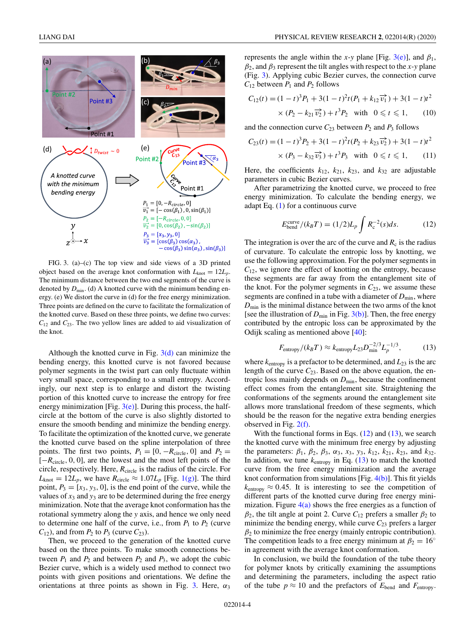<span id="page-4-0"></span>

FIG. 3. (a)–(c) The top view and side views of a 3D printed object based on the average knot conformation with  $L_{\text{knot}} = 12L_p$ . The minimum distance between the two end segments of the curve is denoted by  $D_{\min}$ . (d) A knotted curve with the minimum bending energy. (e) We distort the curve in (d) for the free energy minimization. Three points are defined on the curve to facilitate the formalization of the knotted curve. Based on these three points, we define two curves:  $C_{12}$  and  $C_{23}$ . The two yellow lines are added to aid visualization of the knot.

Although the knotted curve in Fig.  $3(d)$  can minimize the bending energy, this knotted curve is not favored because polymer segments in the twist part can only fluctuate within very small space, corresponding to a small entropy. Accordingly, our next step is to enlarge and distort the twisting portion of this knotted curve to increase the entropy for free energy minimization [Fig.  $3(e)$ ]. During this process, the halfcircle at the bottom of the curve is also slightly distorted to ensure the smooth bending and minimize the bending energy. To facilitate the optimization of the knotted curve, we generate the knotted curve based on the spline interpolation of three points. The first two points,  $P_1 = [0, -R_{\text{circle}}, 0]$  and  $P_2 =$ [−*R*circle, 0, 0], are the lowest and the most left points of the circle, respectively. Here,  $R_{\text{circle}}$  is the radius of the circle. For  $L_{\text{knot}} = 12L_p$ , we have  $R_{\text{circle}} \approx 1.07L_p$  [Fig. [1\(g\)\]](#page-2-0). The third point,  $P_3 = [x_3, y_3, 0]$ , is the end point of the curve, while the values of  $x_3$  and  $y_3$  are to be determined during the free energy minimization. Note that the average knot conformation has the rotational symmetry along the *y* axis, and hence we only need to determine one half of the curve, i.e., from  $P_1$  to  $P_2$  (curve  $C_{12}$ ), and from  $P_2$  to  $P_3$  (curve  $C_{23}$ ).

Then, we proceed to the generation of the knotted curve based on the three points. To make smooth connections between  $P_1$  and  $P_2$  and between  $P_2$  and  $P_3$ , we adopt the cubic Bezier curve, which is a widely used method to connect two points with given positions and orientations. We define the orientations at three points as shown in Fig. 3. Here,  $\alpha_3$ 

represents the angle within the *x*-*y* plane [Fig. 3(e)], and  $\beta_1$ ,  $\beta_2$ , and  $\beta_3$  represent the tilt angles with respect to the *x*-*y* plane (Fig. 3). Applying cubic Bezier curves, the connection curve  $C_{12}$  between  $P_1$  and  $P_2$  follows

$$
C_{12}(t) = (1-t)^3 P_1 + 3(1-t)^2 t (P_1 + k_{12} \vec{v_1}) + 3(1-t) t^2
$$
  
×  $(P_2 - k_{21} \vec{v_2}) + t^3 P_2$  with  $0 \le t \le 1$ , (10)

and the connection curve  $C_{23}$  between  $P_2$  and  $P_3$  follows

$$
C_{23}(t) = (1-t)^3 P_2 + 3(1-t)^2 t (P_2 + k_{23} \overrightarrow{v_2}) + 3(1-t) t^2
$$
  
×  $(P_3 - k_{32} \overrightarrow{v_3}) + t^3 P_3$  with  $0 \le t \le 1$ , (11)

Here, the coefficients  $k_{12}$ ,  $k_{21}$ ,  $k_{23}$ , and  $k_{32}$  are adjustable parameters in cubic Bezier curves.

After parametrizing the knotted curve, we proceed to free energy minimization. To calculate the bending energy, we adapt Eq.  $(1)$  for a continuous curve

$$
E_{\text{bend}}^{\text{curve}}/(k_B T) = (1/2)L_p \int R_c^{-2}(s)ds.
$$
 (12)

The integration is over the arc of the curve and  $R_c$  is the radius of curvature. To calculate the entropic loss by knotting, we use the following approximation. For the polymer segments in *C*12, we ignore the effect of knotting on the entropy, because these segments are far away from the entanglement site of the knot. For the polymer segments in  $C_{23}$ , we assume these segments are confined in a tube with a diameter of  $D_{\text{min}}$ , where  $D_{\text{min}}$  is the minimal distance between the two arms of the knot [see the illustration of  $D_{\text{min}}$  in Fig. 3(b)]. Then, the free energy contributed by the entropic loss can be approximated by the Odijk scaling as mentioned above [\[40\]](#page-6-0):

$$
F_{\text{entropy}}/(k_B T) \approx k_{\text{entropy}} L_{23} D_{\text{min}}^{-2/3} L_p^{-1/3},\tag{13}
$$

where  $k_{entropy}$  is a prefactor to be determined, and  $L_{23}$  is the arc length of the curve  $C_{23}$ . Based on the above equation, the entropic loss mainly depends on  $D_{\text{min}}$ , because the confinement effect comes from the entanglement site. Straightening the conformations of the segments around the entanglement site allows more translational freedom of these segments, which should be the reason for the negative extra bending energies observed in Fig.  $2(f)$ .

With the functional forms in Eqs.  $(12)$  and  $(13)$ , we search the knotted curve with the minimum free energy by adjusting the parameters:  $\beta_1$ ,  $\beta_2$ ,  $\beta_3$ ,  $\alpha_3$ ,  $x_3$ ,  $y_3$ ,  $k_{12}$ ,  $k_{21}$ ,  $k_{23}$ , and  $k_{32}$ . In addition, we tune  $k_{entropy}$  in Eq.  $(13)$  to match the knotted curve from the free energy minimization and the average knot conformation from simulations [Fig. [4\(b\)\]](#page-5-0). This fit yields  $k_{entropy} \approx 0.45$ . It is interesting to see the competition of different parts of the knotted curve during free energy minimization. Figure  $4(a)$  shows the free energies as a function of  $β_2$ , the tilt angle at point 2. Curve  $C_{12}$  prefers a smaller  $β_2$  to minimize the bending energy, while curve  $C_{23}$  prefers a larger  $\beta_2$  to minimize the free energy (mainly entropic contribution). The competition leads to a free energy minimum at  $\beta_2 = 16^\circ$ in agreement with the average knot conformation.

In conclusion, we build the foundation of the tube theory for polymer knots by critically examining the assumptions and determining the parameters, including the aspect ratio of the tube  $p \approx 10$  and the prefactors of  $E_{\text{bend}}$  and  $F_{\text{entropy}}$ .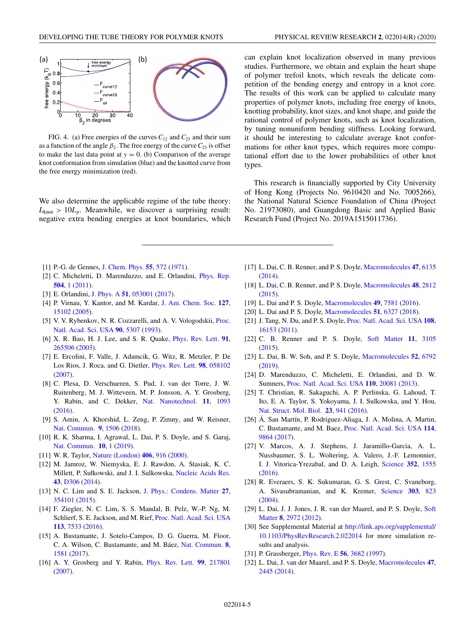<span id="page-5-0"></span>

FIG. 4. (a) Free energies of the curves  $C_{12}$  and  $C_{23}$  and their sum as a function of the angle  $\beta_2$ . The free energy of the curve  $C_{23}$  is offset to make the last data point at  $y = 0$ . (b) Comparison of the average knot conformation from simulation (blue) and the knotted curve from the free energy minimization (red).

We also determine the applicable regime of the tube theory:  $L_{\text{knot}} > 10L_p$ . Meanwhile, we discover a surprising result: negative extra bending energies at knot boundaries, which can explain knot localization observed in many previous studies. Furthermore, we obtain and explain the heart shape of polymer trefoil knots, which reveals the delicate competition of the bending energy and entropy in a knot core. The results of this work can be applied to calculate many properties of polymer knots, including free energy of knots, knotting probability, knot sizes, and knot shape, and guide the rational control of polymer knots, such as knot localization, by tuning nonuniform bending stiffness. Looking forward, it should be interesting to calculate average knot conformations for other knot types, which requires more computational effort due to the lower probabilities of other knot types.

This research is financially supported by City University of Hong Kong (Projects No. 9610420 and No. 7005266), the National Natural Science Foundation of China (Project No. 21973080), and Guangdong Basic and Applied Basic Research Fund (Project No. 2019A1515011736).

- [1] P.-G. de Gennes, [J. Chem. Phys.](https://doi.org/10.1063/1.1675789) **[55](https://doi.org/10.1063/1.1675789)**, [572](https://doi.org/10.1063/1.1675789) [\(1971\)](https://doi.org/10.1063/1.1675789).
- [2] C. Micheletti, D. Marenduzzo, and E. Orlandini, *[Phys. Rep.](https://doi.org/10.1016/j.physrep.2011.03.003)* **[504](https://doi.org/10.1016/j.physrep.2011.03.003)**, [1](https://doi.org/10.1016/j.physrep.2011.03.003) [\(2011\)](https://doi.org/10.1016/j.physrep.2011.03.003).
- [3] E. Orlandini, [J. Phys. A](https://doi.org/10.1088/1751-8121/aa9a4c) **[51](https://doi.org/10.1088/1751-8121/aa9a4c)**, [053001](https://doi.org/10.1088/1751-8121/aa9a4c) [\(2017\)](https://doi.org/10.1088/1751-8121/aa9a4c).
- [4] P. Virnau, Y. Kantor, and M. Kardar, [J. Am. Chem. Soc.](https://doi.org/10.1021/ja052438a) **[127](https://doi.org/10.1021/ja052438a)**, [15102](https://doi.org/10.1021/ja052438a) [\(2005\)](https://doi.org/10.1021/ja052438a).
- [5] [V. V. Rybenkov, N. R. Cozzarelli, and A. V. Vologodskii,](https://doi.org/10.1073/pnas.90.11.5307) Proc. Natl. Acad. Sci. USA **[90](https://doi.org/10.1073/pnas.90.11.5307)**, [5307](https://doi.org/10.1073/pnas.90.11.5307) [\(1993\)](https://doi.org/10.1073/pnas.90.11.5307).
- [6] X. R. Bao, H. J. Lee, and S. R. Quake, [Phys. Rev. Lett.](https://doi.org/10.1103/PhysRevLett.91.265506) **[91](https://doi.org/10.1103/PhysRevLett.91.265506)**, [265506](https://doi.org/10.1103/PhysRevLett.91.265506) [\(2003\)](https://doi.org/10.1103/PhysRevLett.91.265506).
- [7] E. Ercolini, F. Valle, J. Adamcik, G. Witz, R. Metzler, P. De Los Rios, J. Roca, and G. Dietler, [Phys. Rev. Lett.](https://doi.org/10.1103/PhysRevLett.98.058102) **[98](https://doi.org/10.1103/PhysRevLett.98.058102)**, [058102](https://doi.org/10.1103/PhysRevLett.98.058102) [\(2007\)](https://doi.org/10.1103/PhysRevLett.98.058102).
- [8] C. Plesa, D. Verschueren, S. Pud, J. van der Torre, J. W. Ruitenberg, M. J. Witteveen, M. P. Jonsson, A. Y. Grosberg, Y. Rabin, and C. Dekker, [Nat. Nanotechnol.](https://doi.org/10.1038/nnano.2016.153) **[11](https://doi.org/10.1038/nnano.2016.153)**, [1093](https://doi.org/10.1038/nnano.2016.153) [\(2016\)](https://doi.org/10.1038/nnano.2016.153).
- [9] S. Amin, A. Khorshid, L. Zeng, P. Zimny, and W. Reisner, [Nat. Commun.](https://doi.org/10.1038/s41467-018-03901-w) **[9](https://doi.org/10.1038/s41467-018-03901-w)**, [1506](https://doi.org/10.1038/s41467-018-03901-w) [\(2018\)](https://doi.org/10.1038/s41467-018-03901-w).
- [10] R. K. Sharma, I. Agrawal, L. Dai, P. S. Doyle, and S. Garaj, [Nat. Commun.](https://doi.org/10.1038/s41467-018-07882-8) **[10](https://doi.org/10.1038/s41467-018-07882-8)**, [1](https://doi.org/10.1038/s41467-018-07882-8) [\(2019\)](https://doi.org/10.1038/s41467-018-07882-8).
- [11] W. R. Taylor, [Nature \(London\)](https://doi.org/10.1038/35022623) **[406](https://doi.org/10.1038/35022623)**, [916](https://doi.org/10.1038/35022623) [\(2000\)](https://doi.org/10.1038/35022623).
- [12] M. Jamroz, W. Niemyska, E. J. Rawdon, A. Stasiak, K. C. Millett, P. Sułkowski, and J. I. Sulkowska, [Nucleic Acids Res.](https://doi.org/10.1093/nar/gku1059) **[43](https://doi.org/10.1093/nar/gku1059)**, [D306](https://doi.org/10.1093/nar/gku1059) [\(2014\)](https://doi.org/10.1093/nar/gku1059).
- [13] N. C. Lim and S. E. Jackson, [J. Phys.: Condens. Matter](https://doi.org/10.1088/0953-8984/27/35/354101) **[27](https://doi.org/10.1088/0953-8984/27/35/354101)**, [354101](https://doi.org/10.1088/0953-8984/27/35/354101) [\(2015\)](https://doi.org/10.1088/0953-8984/27/35/354101).
- [14] F. Ziegler, N. C. Lim, S. S. Mandal, B. Pelz, W.-P. Ng, M. Schlierf, S. E. Jackson, and M. Rief, [Proc. Natl. Acad. Sci. USA](https://doi.org/10.1073/pnas.1600614113) **[113](https://doi.org/10.1073/pnas.1600614113)**, [7533](https://doi.org/10.1073/pnas.1600614113) [\(2016\)](https://doi.org/10.1073/pnas.1600614113).
- [15] A. Bustamante, J. Sotelo-Campos, D. G. Guerra, M. Floor, C. A. Wilson, C. Bustamante, and M. Báez, [Nat. Commun.](https://doi.org/10.1038/s41467-017-01691-1) **[8](https://doi.org/10.1038/s41467-017-01691-1)**, [1581](https://doi.org/10.1038/s41467-017-01691-1) [\(2017\)](https://doi.org/10.1038/s41467-017-01691-1).
- [16] A. Y. Grosberg and Y. Rabin, [Phys. Rev. Lett.](https://doi.org/10.1103/PhysRevLett.99.217801) **[99](https://doi.org/10.1103/PhysRevLett.99.217801)**, [217801](https://doi.org/10.1103/PhysRevLett.99.217801) [\(2007\)](https://doi.org/10.1103/PhysRevLett.99.217801).
- [17] L. Dai, C. B. Renner, and P. S. Doyle, [Macromolecules](https://doi.org/10.1021/ma501585x) **[47](https://doi.org/10.1021/ma501585x)**, [6135](https://doi.org/10.1021/ma501585x) [\(2014\)](https://doi.org/10.1021/ma501585x).
- [18] L. Dai, C. B. Renner, and P. S. Doyle, [Macromolecules](https://doi.org/10.1021/acs.macromol.5b00280) **[48](https://doi.org/10.1021/acs.macromol.5b00280)**, [2812](https://doi.org/10.1021/acs.macromol.5b00280) [\(2015\)](https://doi.org/10.1021/acs.macromol.5b00280).
- [19] L. Dai and P. S. Doyle, [Macromolecules](https://doi.org/10.1021/acs.macromol.6b01653) **[49](https://doi.org/10.1021/acs.macromol.6b01653)**, [7581](https://doi.org/10.1021/acs.macromol.6b01653) [\(2016\)](https://doi.org/10.1021/acs.macromol.6b01653).
- [20] L. Dai and P. S. Doyle, [Macromolecules](https://doi.org/10.1021/acs.macromol.8b01340) **[51](https://doi.org/10.1021/acs.macromol.8b01340)**, [6327](https://doi.org/10.1021/acs.macromol.8b01340) [\(2018\)](https://doi.org/10.1021/acs.macromol.8b01340).
- [21] J. Tang, N. Du, and P. S. Doyle, [Proc. Natl. Acad. Sci. USA](https://doi.org/10.1073/pnas.1105547108) **[108](https://doi.org/10.1073/pnas.1105547108)**, [16153](https://doi.org/10.1073/pnas.1105547108) [\(2011\)](https://doi.org/10.1073/pnas.1105547108).
- [22] C. B. Renner and P. S. Doyle, [Soft Matter](https://doi.org/10.1039/C4SM02738H) **[11](https://doi.org/10.1039/C4SM02738H)**, [3105](https://doi.org/10.1039/C4SM02738H) [\(2015\)](https://doi.org/10.1039/C4SM02738H).
- [23] L. Dai, B. W. Soh, and P. S. Doyle, [Macromolecules](https://doi.org/10.1021/acs.macromol.9b01425) **[52](https://doi.org/10.1021/acs.macromol.9b01425)**, [6792](https://doi.org/10.1021/acs.macromol.9b01425) [\(2019\)](https://doi.org/10.1021/acs.macromol.9b01425).
- [24] D. Marenduzzo, C. Micheletti, E. Orlandini, and D. W. Sumners, [Proc. Natl. Acad. Sci. USA](https://doi.org/10.1073/pnas.1306601110) **[110](https://doi.org/10.1073/pnas.1306601110)**, [20081](https://doi.org/10.1073/pnas.1306601110) [\(2013\)](https://doi.org/10.1073/pnas.1306601110).
- [25] T. Christian, R. Sakaguchi, A. P. Perlinska, G. Lahoud, T. Ito, E. A. Taylor, S. Yokoyama, J. I. Sulkowska, and Y. Hou, [Nat. Struct. Mol. Biol.](https://doi.org/10.1038/nsmb.3282) **[23](https://doi.org/10.1038/nsmb.3282)**, [941](https://doi.org/10.1038/nsmb.3282) [\(2016\)](https://doi.org/10.1038/nsmb.3282).
- [26] Á. San Martín, P. Rodriguez-Aliaga, J. A. Molina, A. Martin, C. Bustamante, and M. Baez, [Proc. Natl. Acad. Sci. USA](https://doi.org/10.1073/pnas.1705916114) **[114](https://doi.org/10.1073/pnas.1705916114)**, [9864](https://doi.org/10.1073/pnas.1705916114) [\(2017\)](https://doi.org/10.1073/pnas.1705916114).
- [27] V. Marcos, A. J. Stephens, J. Jaramillo-Garcia, A. L. Nussbaumer, S. L. Woltering, A. Valero, J.-F. Lemonnier, I. J. Vitorica-Yrezabal, and D. A. Leigh, [Science](https://doi.org/10.1126/science.aaf3673) **[352](https://doi.org/10.1126/science.aaf3673)**, [1555](https://doi.org/10.1126/science.aaf3673) [\(2016\)](https://doi.org/10.1126/science.aaf3673).
- [28] R. Everaers, S. K. Sukumaran, G. S. Grest, C. Svaneborg, A. Sivasubramanian, and K. Kremer, [Science](https://doi.org/10.1126/science.1091215) **[303](https://doi.org/10.1126/science.1091215)**, [823](https://doi.org/10.1126/science.1091215) [\(2004\)](https://doi.org/10.1126/science.1091215).
- [29] [L. Dai, J. J. Jones, J. R. van der Maarel, and P. S. Doyle,](https://doi.org/10.1039/c2sm07322f) Soft Matter **[8](https://doi.org/10.1039/c2sm07322f)**, [2972](https://doi.org/10.1039/c2sm07322f) [\(2012\)](https://doi.org/10.1039/c2sm07322f).
- [30] See Supplemental Material at http://link.aps.org/supplemental/ [10.1103/PhysRevResearch.2.022014](http://link.aps.org/supplemental/10.1103/PhysRevResearch.2.022014) for more simulation results and analysis.
- [31] P. Grassberger, [Phys. Rev. E](https://doi.org/10.1103/PhysRevE.56.3682) **[56](https://doi.org/10.1103/PhysRevE.56.3682)**, [3682](https://doi.org/10.1103/PhysRevE.56.3682) [\(1997\)](https://doi.org/10.1103/PhysRevE.56.3682).
- [32] L. Dai, J. van der Maarel, and P. S. Doyle, [Macromolecules](https://doi.org/10.1021/ma500326w) **[47](https://doi.org/10.1021/ma500326w)**, [2445](https://doi.org/10.1021/ma500326w) [\(2014\)](https://doi.org/10.1021/ma500326w).